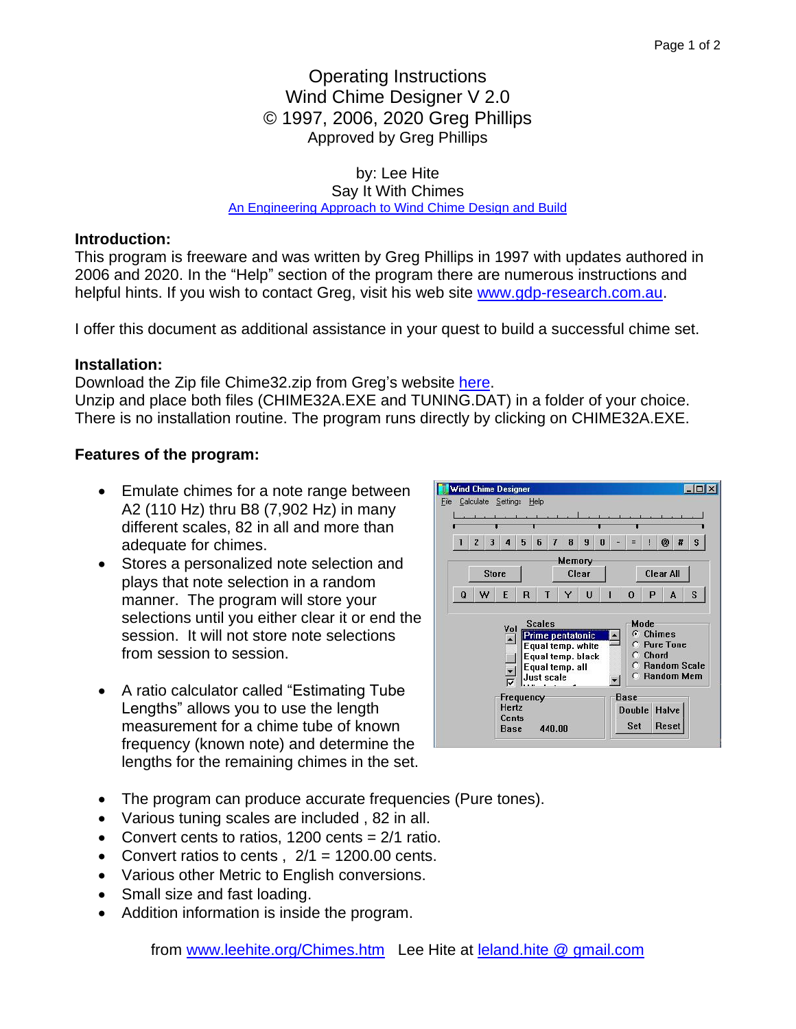# Operating Instructions Wind Chime Designer V 2.0 © 1997, 2006, 2020 Greg Phillips Approved by Greg Phillips

by: Lee Hite

Say It With Chimes [An Engineering Approach to Wind Chime Design and](http://leehite.org/Chimes.htm) Build

## **Introduction:**

This program is freeware and was written by Greg Phillips in 1997 with updates authored in 2006 and 2020. In the "Help" section of the program there are numerous instructions and helpful hints. If you wish to contact Greg, visit his web site [www.gdp-research.com.au.](http://www.gdp-research.com.au/)

I offer this document as additional assistance in your quest to build a successful chime set.

#### **Installation:**

Download the Zip file Chime32.zip from Greg's website [here.](http://www.gdp-research.com.au/soft_1.htm)

Unzip and place both files (CHIME32A.EXE and TUNING.DAT) in a folder of your choice. There is no installation routine. The program runs directly by clicking on CHIME32A.EXE.

# **Features of the program:**

- Emulate chimes for a note range between A2 (110 Hz) thru B8 (7,902 Hz) in many different scales, 82 in all and more than adequate for chimes.
- Stores a personalized note selection and plays that note selection in a random manner. The program will store your selections until you either clear it or end the session. It will not store note selections from session to session.
- A ratio calculator called "Estimating Tube Lengths" allows you to use the length measurement for a chime tube of known frequency (known note) and determine the lengths for the remaining chimes in the set.



- The program can produce accurate frequencies (Pure tones).
- Various tuning scales are included , 82 in all.
- Convert cents to ratios, 1200 cents  $= 2/1$  ratio.
- Convert ratios to cents,  $2/1 = 1200.00$  cents.
- Various other Metric to English conversions.
- Small size and fast loading.
- Addition information is inside the program.